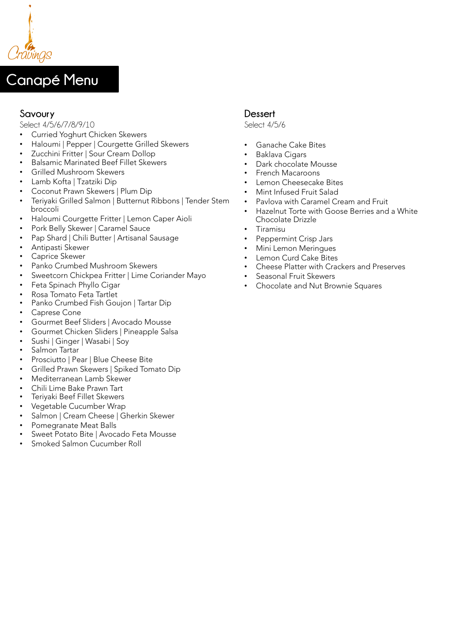

# **Canapé Menu**

# **Savoury**

Select 4/5/6/7/8/9/10

- Curried Yoghurt Chicken Skewers
- Haloumi | Pepper | Courgette Grilled Skewers
- Zucchini Fritter | Sour Cream Dollop
- Balsamic Marinated Beef Fillet Skewers
- Grilled Mushroom Skewers
- Lamb Kofta | Tzatziki Dip
- Coconut Prawn Skewers | Plum Dip
- Teriyaki Grilled Salmon | Butternut Ribbons | Tender Stem broccoli
- Haloumi Courgette Fritter | Lemon Caper Aioli
- Pork Belly Skewer | Caramel Sauce
- Pap Shard | Chili Butter | Artisanal Sausage
- Antipasti Skewer
- Caprice Skewer
- Panko Crumbed Mushroom Skewers
- Sweetcorn Chickpea Fritter | Lime Coriander Mayo
- Feta Spinach Phyllo Cigar
- Rosa Tomato Feta Tartlet
- Panko Crumbed Fish Goujon | Tartar Dip
- Caprese Cone
- Gourmet Beef Sliders | Avocado Mousse
- Gourmet Chicken Sliders | Pineapple Salsa
- Sushi | Ginger | Wasabi | Soy
- Salmon Tartar
- Prosciutto | Pear | Blue Cheese Bite
- Grilled Prawn Skewers | Spiked Tomato Dip
- Mediterranean Lamb Skewer
- Chili Lime Bake Prawn Tart
- Teriyaki Beef Fillet Skewers
- Vegetable Cucumber Wrap
- Salmon | Cream Cheese | Gherkin Skewer
- Pomegranate Meat Balls
- Sweet Potato Bite | Avocado Feta Mousse
- Smoked Salmon Cucumber Roll

## **Dessert**

Select 4/5/6

- Ganache Cake Bites
- Baklava Cigars
- Dark chocolate Mousse
- French Macaroons
- Lemon Cheesecake Bites
- Mint Infused Fruit Salad
- Pavlova with Caramel Cream and Fruit
- Hazelnut Torte with Goose Berries and a White Chocolate Drizzle
- Tiramisu
- Peppermint Crisp Jars
- Mini Lemon Meringues
- Lemon Curd Cake Bites
- Cheese Platter with Crackers and Preserves
- Seasonal Fruit Skewers
- Chocolate and Nut Brownie Squares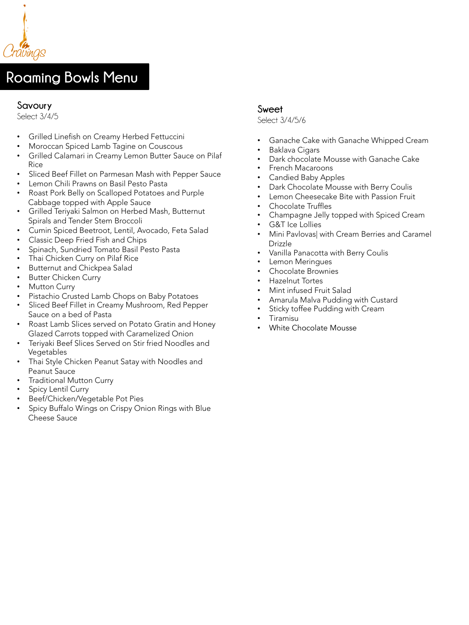

# **Roaming Bowls Menu**

#### **Savoury**

Select 3/4/5

- Grilled Linefish on Creamy Herbed Fettuccini
- Moroccan Spiced Lamb Tagine on Couscous
- Grilled Calamari in Creamy Lemon Butter Sauce on Pilaf Rice
- Sliced Beef Fillet on Parmesan Mash with Pepper Sauce
- Lemon Chili Prawns on Basil Pesto Pasta
- Roast Pork Belly on Scalloped Potatoes and Purple Cabbage topped with Apple Sauce
- Grilled Teriyaki Salmon on Herbed Mash, Butternut Spirals and Tender Stem Broccoli
- Cumin Spiced Beetroot, Lentil, Avocado, Feta Salad
- Classic Deep Fried Fish and Chips
- Spinach, Sundried Tomato Basil Pesto Pasta
- Thai Chicken Curry on Pilaf Rice
- Butternut and Chickpea Salad
- **Butter Chicken Curry**
- **Mutton Curry**
- Pistachio Crusted Lamb Chops on Baby Potatoes
- Sliced Beef Fillet in Creamy Mushroom, Red Pepper Sauce on a bed of Pasta
- Roast Lamb Slices served on Potato Gratin and Honey Glazed Carrots topped with Caramelized Onion
- Teriyaki Beef Slices Served on Stir fried Noodles and Vegetables
- Thai Style Chicken Peanut Satay with Noodles and Peanut Sauce
- Traditional Mutton Curry
- Spicy Lentil Curry
- Beef/Chicken/Vegetable Pot Pies
- Spicy Buffalo Wings on Crispy Onion Rings with Blue Cheese Sauce

## **Sweet**

Select 3/4/5/6

- Ganache Cake with Ganache Whipped Cream
- Baklava Cigars
- Dark chocolate Mousse with Ganache Cake
- French Macaroons
- Candied Baby Apples
- Dark Chocolate Mousse with Berry Coulis
- Lemon Cheesecake Bite with Passion Fruit
- Chocolate Truffles
- Champagne Jelly topped with Spiced Cream
- G&T Ice Lollies
- Mini Pavlovas| with Cream Berries and Caramel Drizzle
- Vanilla Panacotta with Berry Coulis
- Lemon Meringues
- Chocolate Brownies
- Hazelnut Tortes
- Mint infused Fruit Salad
- Amarula Malva Pudding with Custard
- Sticky toffee Pudding with Cream
- Tiramisu
- White Chocolate Mousse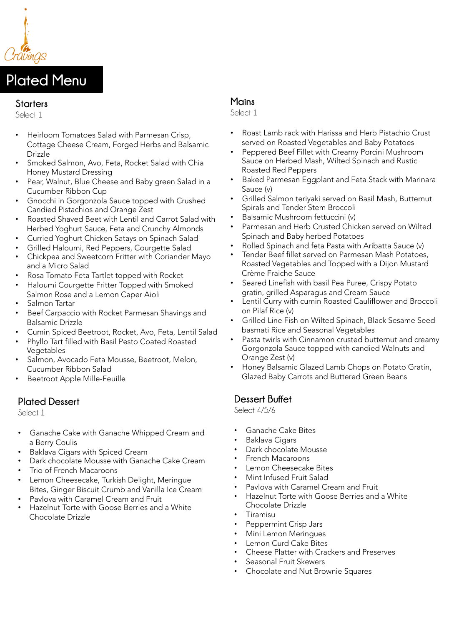

# **Plated Menu**

#### **Starters**

Select 1

- Heirloom Tomatoes Salad with Parmesan Crisp, Cottage Cheese Cream, Forged Herbs and Balsamic Drizzle
- Smoked Salmon, Avo, Feta, Rocket Salad with Chia Honey Mustard Dressing
- Pear, Walnut, Blue Cheese and Baby green Salad in a Cucumber Ribbon Cup
- Gnocchi in Gorgonzola Sauce topped with Crushed Candied Pistachios and Orange Zest
- Roasted Shaved Beet with Lentil and Carrot Salad with Herbed Yoghurt Sauce, Feta and Crunchy Almonds
- Curried Yoghurt Chicken Satays on Spinach Salad
- Grilled Haloumi, Red Peppers, Courgette Salad
- Chickpea and Sweetcorn Fritter with Coriander Mayo and a Micro Salad
- Rosa Tomato Feta Tartlet topped with Rocket
- Haloumi Courgette Fritter Topped with Smoked Salmon Rose and a Lemon Caper Aioli
- Salmon Tartar
- Beef Carpaccio with Rocket Parmesan Shavings and Balsamic Drizzle
- Cumin Spiced Beetroot, Rocket, Avo, Feta, Lentil Salad
- Phyllo Tart filled with Basil Pesto Coated Roasted Vegetables
- Salmon, Avocado Feta Mousse, Beetroot, Melon, Cucumber Ribbon Salad
- Beetroot Apple Mille-Feuille

## **Plated Dessert**

Select 1

- Ganache Cake with Ganache Whipped Cream and a Berry Coulis
- Baklava Cigars with Spiced Cream
- Dark chocolate Mousse with Ganache Cake Cream
- Trio of French Macaroons
- Lemon Cheesecake, Turkish Delight, Meringue Bites, Ginger Biscuit Crumb and Vanilla Ice Cream
- Pavlova with Caramel Cream and Fruit
- Hazelnut Torte with Goose Berries and a White Chocolate Drizzle

# **Mains**

Select 1

- Roast Lamb rack with Harissa and Herb Pistachio Crust served on Roasted Vegetables and Baby Potatoes
- Peppered Beef Fillet with Creamy Porcini Mushroom Sauce on Herbed Mash, Wilted Spinach and Rustic Roasted Red Peppers
- Baked Parmesan Eggplant and Feta Stack with Marinara Sauce (v)
- Grilled Salmon teriyaki served on Basil Mash, Butternut Spirals and Tender Stem Broccoli
- Balsamic Mushroom fettuccini (v)
- Parmesan and Herb Crusted Chicken served on Wilted Spinach and Baby herbed Potatoes
- Rolled Spinach and feta Pasta with Aribatta Sauce (v)
- Tender Beef fillet served on Parmesan Mash Potatoes, Roasted Vegetables and Topped with a Dijon Mustard Crème Fraiche Sauce
- Seared Linefish with basil Pea Puree, Crispy Potato gratin, grilled Asparagus and Cream Sauce
- Lentil Curry with cumin Roasted Cauliflower and Broccoli on Pilaf Rice (v)
- Grilled Line Fish on Wilted Spinach, Black Sesame Seed basmati Rice and Seasonal Vegetables
- Pasta twirls with Cinnamon crusted butternut and creamy Gorgonzola Sauce topped with candied Walnuts and Orange Zest (v)
- Honey Balsamic Glazed Lamb Chops on Potato Gratin, Glazed Baby Carrots and Buttered Green Beans

# **Dessert Buffet**

Select 4/5/6

- Ganache Cake Bites
- Baklava Cigars
- Dark chocolate Mousse
- French Macaroons
- Lemon Cheesecake Bites
- Mint Infused Fruit Salad
- Pavlova with Caramel Cream and Fruit
- Hazelnut Torte with Goose Berries and a White Chocolate Drizzle
- Tiramisu
- Peppermint Crisp Jars
- Mini Lemon Meringues
- Lemon Curd Cake Bites
- Cheese Platter with Crackers and Preserves
- Seasonal Fruit Skewers
- Chocolate and Nut Brownie Squares